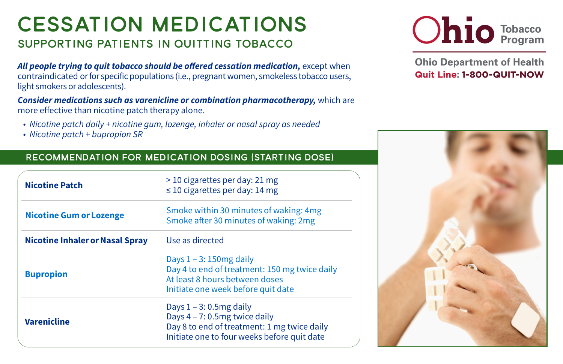## Cessation Medications SUPPORTING PATIENTS IN QUITTING TOBACCO

*All people trying to quit tobacco should be offered cessation medication, except when* contraindicated or for specific populations (i.e., pregnant women, smokeless tobacco users, light smokers or adolescents).

*Consider medications such as varenicline or combination pharmacotherapy,* which are more effective than nicotine patch therapy alone.

- *Nicotine patch daily + nicotine gum, lozenge, inhaler or nasal spray as needed*
- *Nicotine patch + bupropion SR*

## RECOMMENDATION FOR MEDICATION DOSING (Starting dose)

| <b>Nicotine Patch</b>           | > 10 cigarettes per day: 21 mg<br>$\leq$ 10 cigarettes per day: 14 mg                                                                                     |
|---------------------------------|-----------------------------------------------------------------------------------------------------------------------------------------------------------|
| <b>Nicotine Gum or Lozenge</b>  | Smoke within 30 minutes of waking: 4mg<br>Smoke after 30 minutes of waking: 2mg                                                                           |
| Nicotine Inhaler or Nasal Spray | Use as directed                                                                                                                                           |
| <b>Bupropion</b>                | Days $1 - 3$ : 150 mg daily<br>Day 4 to end of treatment: 150 mg twice daily<br>At least 8 hours between doses<br>Initiate one week before quit date      |
| <b>Varenicline</b>              | Days $1 - 3$ : 0.5mg daily<br>Days 4 - 7: 0.5mg twice daily<br>Day 8 to end of treatment: 1 mg twice daily<br>Initiate one to four weeks before quit date |



**Ohio Department of Health Quit Line: 1-800-QUIT-NOW**